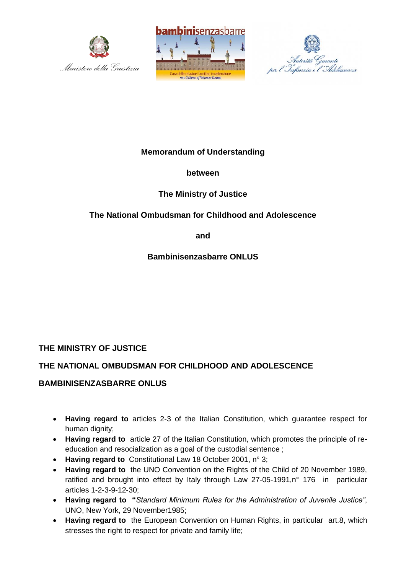





# **Memorandum of Understanding**

## **between**

## **The Ministry of Justice**

# **The National Ombudsman for Childhood and Adolescence**

**and**

**Bambinisenzasbarre ONLUS**

# **THE MINISTRY OF JUSTICE**

## **THE NATIONAL OMBUDSMAN FOR CHILDHOOD AND ADOLESCENCE**

## **BAMBINISENZASBARRE ONLUS**

- **Having regard to** articles 2-3 of the Italian Constitution, which guarantee respect for human dignity;
- **Having regard to** article 27 of the Italian Constitution, which promotes the principle of reeducation and resocialization as a goal of the custodial sentence ;
- **Having regard to** Constitutional Law 18 October 2001, n° 3;
- **Having regard to** the UNO Convention on the Rights of the Child of 20 November 1989, ratified and brought into effect by Italy through Law 27-05-1991,n° 176 in particular articles 1-2-3-9-12-30;
- **Having regard to "***Standard Minimum Rules for the Administration of Juvenile Justice"*, UNO, New York, 29 November1985;
- **Having regard to** the European Convention on Human Rights, in particular art.8, which stresses the right to respect for private and family life;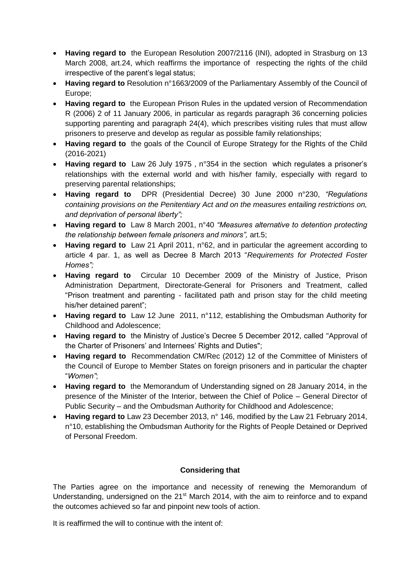- **Having regard to** the European Resolution 2007/2116 (INI), adopted in Strasburg on 13 March 2008, art.24, which reaffirms the importance of respecting the rights of the child irrespective of the parent's legal status;
- **Having regard to** Resolution n°1663/2009 of the Parliamentary Assembly of the Council of Europe;
- **Having regard to** the European Prison Rules in the updated version of Recommendation R (2006) 2 of 11 January 2006, in particular as regards paragraph 36 concerning policies supporting parenting and paragraph 24(4), which prescribes visiting rules that must allow prisoners to preserve and develop as regular as possible family relationships;
- **Having regard to** the goals of the Council of Europe Strategy for the Rights of the Child (2016-2021)
- **Having regard to** Law 26 July 1975, n°354 in the section which regulates a prisoner's relationships with the external world and with his/her family, especially with regard to preserving parental relationships;
- **Having regard to** DPR (Presidential Decree) 30 June 2000 n°230, *"Regulations containing provisions on the Penitentiary Act and on the measures entailing restrictions on, and deprivation of personal liberty";*
- **Having regard to** Law 8 March 2001, n°40 *"Measures alternative to detention protecting the relationship between female prisoners and minors",* art.5;
- **Having regard to** Law 21 April 2011, n°62, and in particular the agreement according to article 4 par. 1, as well as Decree 8 March 2013 "*Requirements for Protected Foster Homes";*
- **Having regard to** Circular 10 December 2009 of the Ministry of Justice, Prison Administration Department, Directorate-General for Prisoners and Treatment, called "Prison treatment and parenting - facilitated path and prison stay for the child meeting his/her detained parent";
- **Having regard to** Law 12 June 2011, n°112, establishing the Ombudsman Authority for Childhood and Adolescence;
- **Having regard to** the Ministry of Justice's Decree 5 December 2012, called "Approval of the Charter of Prisoners' and Internees' Rights and Duties";
- **Having regard to** Recommendation CM/Rec (2012) 12 of the Committee of Ministers of the Council of Europe to Member States on foreign prisoners and in particular the chapter "*Women"*;
- **Having regard to** the Memorandum of Understanding signed on 28 January 2014, in the presence of the Minister of the Interior, between the Chief of Police – General Director of Public Security – and the Ombudsman Authority for Childhood and Adolescence;
- **Having regard to** Law 23 December 2013, n° 146, modified by the Law 21 February 2014, n°10, establishing the Ombudsman Authority for the Rights of People Detained or Deprived of Personal Freedom.

## **Considering that**

The Parties agree on the importance and necessity of renewing the Memorandum of Understanding, undersigned on the 21<sup>st</sup> March 2014, with the aim to reinforce and to expand the outcomes achieved so far and pinpoint new tools of action.

It is reaffirmed the will to continue with the intent of: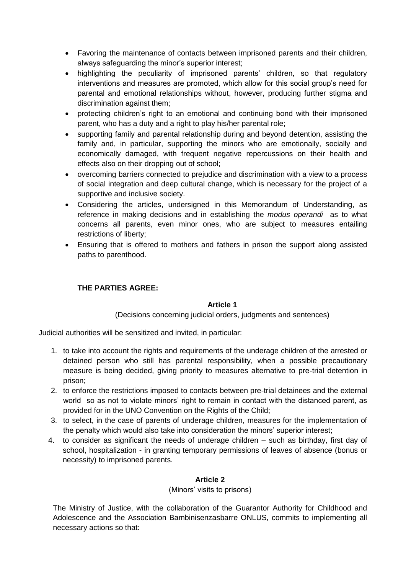- Favoring the maintenance of contacts between imprisoned parents and their children, always safeguarding the minor's superior interest;
- highlighting the peculiarity of imprisoned parents' children, so that regulatory interventions and measures are promoted, which allow for this social group's need for parental and emotional relationships without, however, producing further stigma and discrimination against them;
- protecting children's right to an emotional and continuing bond with their imprisoned parent, who has a duty and a right to play his/her parental role;
- supporting family and parental relationship during and beyond detention, assisting the family and, in particular, supporting the minors who are emotionally, socially and economically damaged, with frequent negative repercussions on their health and effects also on their dropping out of school;
- overcoming barriers connected to prejudice and discrimination with a view to a process of social integration and deep cultural change, which is necessary for the project of a supportive and inclusive society.
- Considering the articles, undersigned in this Memorandum of Understanding, as reference in making decisions and in establishing the *modus operandi* as to what concerns all parents, even minor ones, who are subject to measures entailing restrictions of liberty;
- Ensuring that is offered to mothers and fathers in prison the support along assisted paths to parenthood.

## **THE PARTIES AGREE:**

## **Article 1**

(Decisions concerning judicial orders, judgments and sentences)

Judicial authorities will be sensitized and invited, in particular:

- 1. to take into account the rights and requirements of the underage children of the arrested or detained person who still has parental responsibility, when a possible precautionary measure is being decided, giving priority to measures alternative to pre-trial detention in prison;
- 2. to enforce the restrictions imposed to contacts between pre-trial detainees and the external world so as not to violate minors' right to remain in contact with the distanced parent, as provided for in the UNO Convention on the Rights of the Child;
- 3. to select, in the case of parents of underage children, measures for the implementation of the penalty which would also take into consideration the minors' superior interest;
- 4. to consider as significant the needs of underage children such as birthday, first day of school, hospitalization - in granting temporary permissions of leaves of absence (bonus or necessity) to imprisoned parents.

## **Article 2**

(Minors' visits to prisons)

The Ministry of Justice, with the collaboration of the Guarantor Authority for Childhood and Adolescence and the Association Bambinisenzasbarre ONLUS, commits to implementing all necessary actions so that: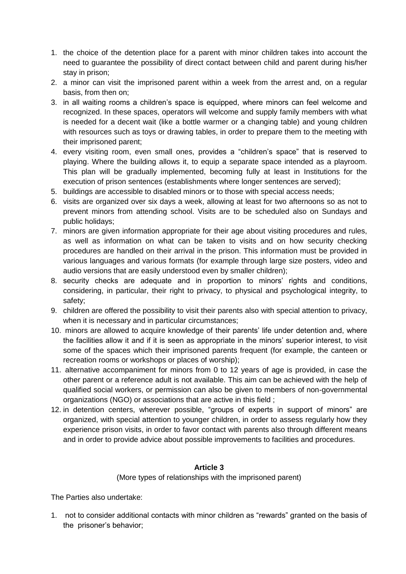- 1. the choice of the detention place for a parent with minor children takes into account the need to guarantee the possibility of direct contact between child and parent during his/her stay in prison;
- 2. a minor can visit the imprisoned parent within a week from the arrest and, on a regular basis, from then on;
- 3. in all waiting rooms a children's space is equipped, where minors can feel welcome and recognized. In these spaces, operators will welcome and supply family members with what is needed for a decent wait (like a bottle warmer or a changing table) and young children with resources such as toys or drawing tables, in order to prepare them to the meeting with their imprisoned parent;
- 4. every visiting room, even small ones, provides a "children's space" that is reserved to playing. Where the building allows it, to equip a separate space intended as a playroom. This plan will be gradually implemented, becoming fully at least in Institutions for the execution of prison sentences (establishments where longer sentences are served);
- 5. buildings are accessible to disabled minors or to those with special access needs;
- 6. visits are organized over six days a week, allowing at least for two afternoons so as not to prevent minors from attending school. Visits are to be scheduled also on Sundays and public holidays;
- 7. minors are given information appropriate for their age about visiting procedures and rules, as well as information on what can be taken to visits and on how security checking procedures are handled on their arrival in the prison. This information must be provided in various languages and various formats (for example through large size posters, video and audio versions that are easily understood even by smaller children);
- 8. security checks are adequate and in proportion to minors' rights and conditions, considering, in particular, their right to privacy, to physical and psychological integrity, to safety;
- 9. children are offered the possibility to visit their parents also with special attention to privacy, when it is necessary and in particular circumstances;
- 10. minors are allowed to acquire knowledge of their parents' life under detention and, where the facilities allow it and if it is seen as appropriate in the minors' superior interest, to visit some of the spaces which their imprisoned parents frequent (for example, the canteen or recreation rooms or workshops or places of worship);
- 11. alternative accompaniment for minors from 0 to 12 years of age is provided, in case the other parent or a reference adult is not available. This aim can be achieved with the help of qualified social workers, or permission can also be given to members of non-governmental organizations (NGO) or associations that are active in this field ;
- 12. in detention centers, wherever possible, "groups of experts in support of minors" are organized, with special attention to younger children, in order to assess regularly how they experience prison visits, in order to favor contact with parents also through different means and in order to provide advice about possible improvements to facilities and procedures.

## **Article 3**

(More types of relationships with the imprisoned parent)

The Parties also undertake:

1. not to consider additional contacts with minor children as "rewards" granted on the basis of the prisoner's behavior;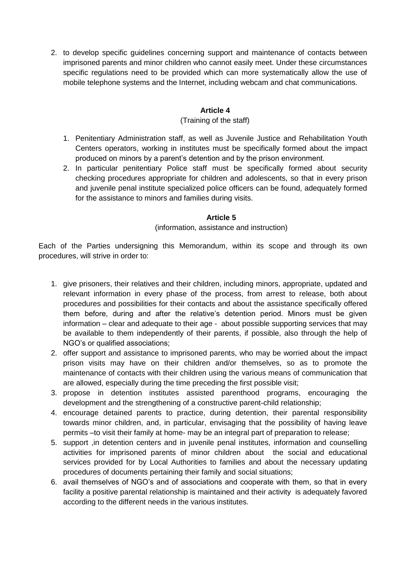2. to develop specific guidelines concerning support and maintenance of contacts between imprisoned parents and minor children who cannot easily meet. Under these circumstances specific regulations need to be provided which can more systematically allow the use of mobile telephone systems and the Internet, including webcam and chat communications.

#### **Article 4**

#### (Training of the staff)

- 1. Penitentiary Administration staff, as well as Juvenile Justice and Rehabilitation Youth Centers operators, working in institutes must be specifically formed about the impact produced on minors by a parent's detention and by the prison environment.
- 2. In particular penitentiary Police staff must be specifically formed about security checking procedures appropriate for children and adolescents, so that in every prison and juvenile penal institute specialized police officers can be found, adequately formed for the assistance to minors and families during visits.

#### **Article 5**

#### (information, assistance and instruction)

Each of the Parties undersigning this Memorandum, within its scope and through its own procedures, will strive in order to:

- 1. give prisoners, their relatives and their children, including minors, appropriate, updated and relevant information in every phase of the process, from arrest to release, both about procedures and possibilities for their contacts and about the assistance specifically offered them before, during and after the relative's detention period. Minors must be given information – clear and adequate to their age - about possible supporting services that may be available to them independently of their parents, if possible, also through the help of NGO's or qualified associations;
- 2. offer support and assistance to imprisoned parents, who may be worried about the impact prison visits may have on their children and/or themselves, so as to promote the maintenance of contacts with their children using the various means of communication that are allowed, especially during the time preceding the first possible visit;
- 3. propose in detention institutes assisted parenthood programs, encouraging the development and the strengthening of a constructive parent-child relationship;
- 4. encourage detained parents to practice, during detention, their parental responsibility towards minor children, and, in particular, envisaging that the possibility of having leave permits –to visit their family at home- may be an integral part of preparation to release;
- 5. support ,in detention centers and in juvenile penal institutes, information and counselling activities for imprisoned parents of minor children about the social and educational services provided for by Local Authorities to families and about the necessary updating procedures of documents pertaining their family and social situations;
- 6. avail themselves of NGO's and of associations and cooperate with them, so that in every facility a positive parental relationship is maintained and their activity is adequately favored according to the different needs in the various institutes.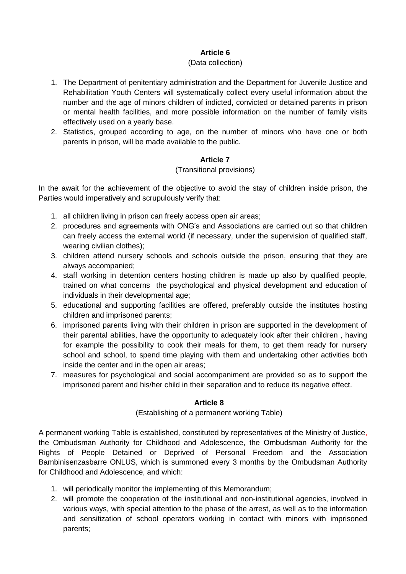## **Article 6**

#### (Data collection)

- 1. The Department of penitentiary administration and the Department for Juvenile Justice and Rehabilitation Youth Centers will systematically collect every useful information about the number and the age of minors children of indicted, convicted or detained parents in prison or mental health facilities, and more possible information on the number of family visits effectively used on a yearly base.
- 2. Statistics, grouped according to age, on the number of minors who have one or both parents in prison, will be made available to the public.

## **Article 7**

#### (Transitional provisions)

In the await for the achievement of the objective to avoid the stay of children inside prison, the Parties would imperatively and scrupulously verify that:

- 1. all children living in prison can freely access open air areas;
- 2. procedures and agreements with ONG's and Associations are carried out so that children can freely access the external world (if necessary, under the supervision of qualified staff, wearing civilian clothes);
- 3. children attend nursery schools and schools outside the prison, ensuring that they are always accompanied;
- 4. staff working in detention centers hosting children is made up also by qualified people, trained on what concerns the psychological and physical development and education of individuals in their developmental age;
- 5. educational and supporting facilities are offered, preferably outside the institutes hosting children and imprisoned parents;
- 6. imprisoned parents living with their children in prison are supported in the development of their parental abilities, have the opportunity to adequately look after their children , having for example the possibility to cook their meals for them, to get them ready for nursery school and school, to spend time playing with them and undertaking other activities both inside the center and in the open air areas;
- 7. measures for psychological and social accompaniment are provided so as to support the imprisoned parent and his/her child in their separation and to reduce its negative effect.

## **Article 8**

(Establishing of a permanent working Table)

A permanent working Table is established, constituted by representatives of the Ministry of Justice, the Ombudsman Authority for Childhood and Adolescence, the Ombudsman Authority for the Rights of People Detained or Deprived of Personal Freedom and the Association Bambinisenzasbarre ONLUS, which is summoned every 3 months by the Ombudsman Authority for Childhood and Adolescence, and which:

- 1. will periodically monitor the implementing of this Memorandum;
- 2. will promote the cooperation of the institutional and non-institutional agencies, involved in various ways, with special attention to the phase of the arrest, as well as to the information and sensitization of school operators working in contact with minors with imprisoned parents;